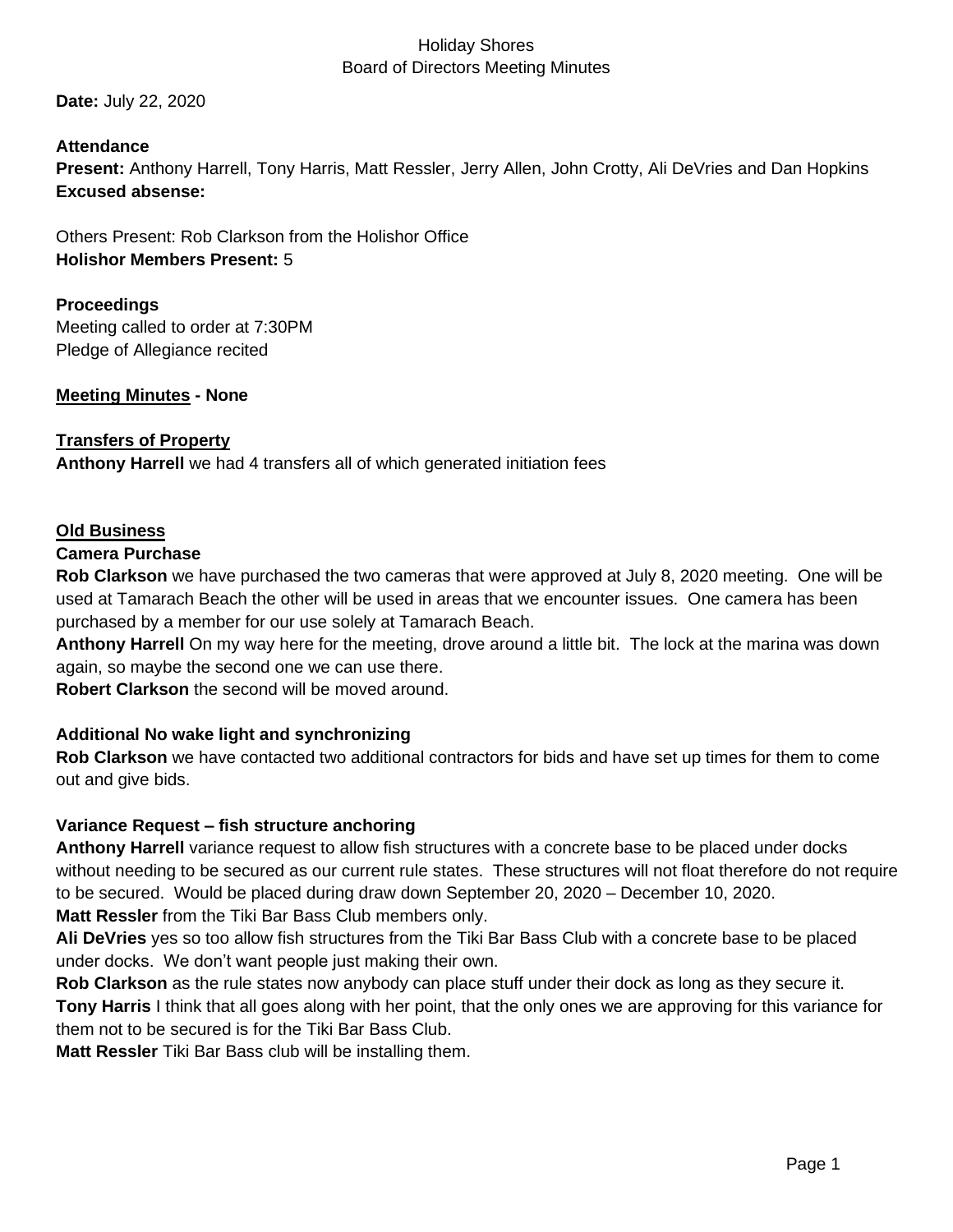### Holiday Shores Board of Directors Meeting Minutes

**Date:** July 22, 2020

### **Attendance**

**Present:** Anthony Harrell, Tony Harris, Matt Ressler, Jerry Allen, John Crotty, Ali DeVries and Dan Hopkins **Excused absense:** 

Others Present: Rob Clarkson from the Holishor Office **Holishor Members Present:** 5

### **Proceedings**

Meeting called to order at 7:30PM Pledge of Allegiance recited

#### **Meeting Minutes - None**

#### **Transfers of Property**

**Anthony Harrell** we had 4 transfers all of which generated initiation fees

#### **Old Business**

#### **Camera Purchase**

**Rob Clarkson** we have purchased the two cameras that were approved at July 8, 2020 meeting. One will be used at Tamarach Beach the other will be used in areas that we encounter issues. One camera has been purchased by a member for our use solely at Tamarach Beach.

**Anthony Harrell** On my way here for the meeting, drove around a little bit. The lock at the marina was down again, so maybe the second one we can use there.

**Robert Clarkson** the second will be moved around.

#### **Additional No wake light and synchronizing**

**Rob Clarkson** we have contacted two additional contractors for bids and have set up times for them to come out and give bids.

#### **Variance Request – fish structure anchoring**

**Anthony Harrell** variance request to allow fish structures with a concrete base to be placed under docks without needing to be secured as our current rule states. These structures will not float therefore do not require to be secured. Would be placed during draw down September 20, 2020 – December 10, 2020. **Matt Ressler** from the Tiki Bar Bass Club members only.

**Ali DeVries** yes so too allow fish structures from the Tiki Bar Bass Club with a concrete base to be placed under docks. We don't want people just making their own.

**Rob Clarkson** as the rule states now anybody can place stuff under their dock as long as they secure it. **Tony Harris** I think that all goes along with her point, that the only ones we are approving for this variance for them not to be secured is for the Tiki Bar Bass Club.

**Matt Ressler** Tiki Bar Bass club will be installing them.